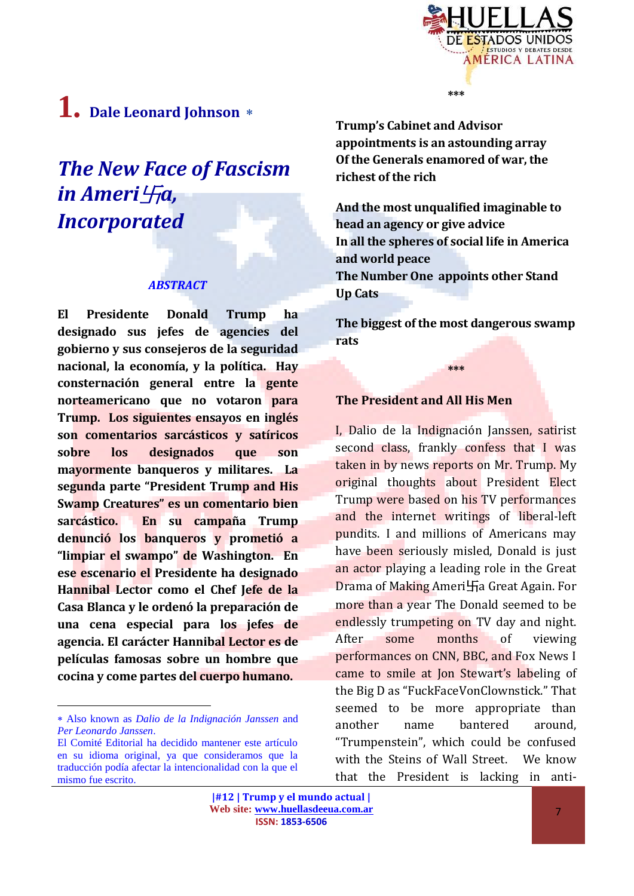

# **1. Dale Leonard Johnson**

## *The New Face of Fascism in Ameri<sup></sup>Ha, Incorporated*

#### *ABSTRACT*

**El Presidente Donald Trump ha designado sus jefes de agencies del gobierno y sus consejeros de la seguridad nacional, la economía, y la política. Hay consternación general entre la gente norteamericano que no votaron para Trump. Los siguientes ensayos en inglés son comentarios sarcásticos y satíricos sobre los designados que son mayormente banqueros y militares. La segunda parte "President Trump and His Swamp Creatures" es un comentario bien sarcástico. En su campaña Trump denunció los banqueros y prometió a "limpiar el swampo" de Washington. En ese escenario el Presidente ha designado Hannibal Lector como el Chef Jefe de la Casa Blanca y le ordenó la preparación de una cena especial para los jefes de agencia. El carácter Hannibal Lector es de películas famosas sobre un hombre que cocina y come partes del cuerpo humano.**

 $\overline{a}$ 

**Trump's Cabinet and Advisor appointments is an astounding array Of the Generals enamored of war, the richest of the rich**

**\*\*\***

**And the most unqualified imaginable to head an agency or give advice In all the spheres of social life in America and world peace The Number One appoints other Stand Up Cats**

**The biggest of the most dangerous swamp rats**

**\*\*\***

#### **The President and All His Men**

I, Dalio de la Indignación Janssen, satirist second class, frankly confess that I was taken in by news reports on Mr. Trump. My original thoughts about President Elect Trump were based on his TV performances and the internet writings of liberal-left pundits. I and millions of Americans may have been seriously misled, Donald is just an actor playing a leading role in the Great Drama of Making Ameri卐a Great Again. For more than a year The Donald seemed to be endlessly trumpeting on TV day and night. After some months of viewing performances on CNN, BBC, and Fox News I came to smile at Jon Stewart's labeling of the Big D as "FuckFaceVonClownstick." That seemed to be more appropriate than another name bantered around, "Trumpenstein", which could be confused with the Steins of Wall Street. We know that the President is lacking in anti-

Also known as *Dalio de la Indignación Janssen* and *Per Leonardo Janssen*.

El Comité Editorial ha decidido mantener este artículo en su idioma original, ya que consideramos que la traducción podía afectar la intencionalidad con la que el mismo fue escrito.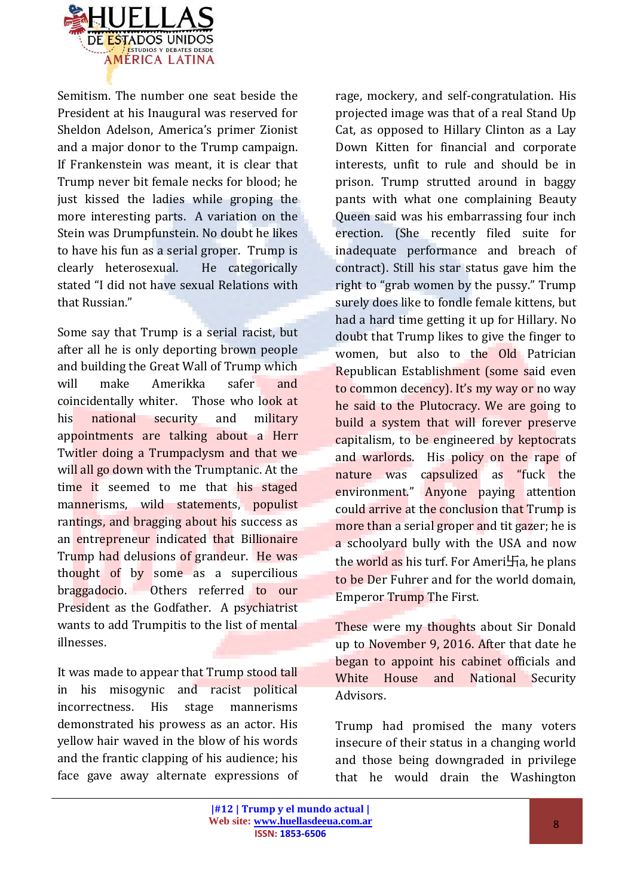

Semitism. The number one seat beside the President at his Inaugural was reserved for Sheldon Adelson, America's primer Zionist and a major donor to the Trump campaign. If Frankenstein was meant, it is clear that Trump never bit female necks for blood; he just kissed the ladies while groping the more interesting parts. A variation on the Stein was Drumpfunstein. No doubt he likes to have his fun as a serial groper. Trump is clearly heterosexual. He categorically stated "I did not have sexual Relations with that Russian."

Some say that Trump is a serial racist, but after all he is only deporting brown people and building the Great Wall of Trump which will make Amerikka safer and coincidentally whiter. Those who look at his national security and military appointments are talking about a Herr Twitler doing a Trumpaclysm and that we will all go down with the Trumptanic. At the time it seemed to me that his staged mannerisms, wild statements, populist rantings, and bragging about his success as an entrepreneur indicated that Billionaire Trump had delusions of grandeur. He was thought of by some as a supercilious braggadocio. Others referred to our President as the Godfather. A psychiatrist wants to add Trumpitis to the list of mental illnesses.

It was made to appear that Trump stood tall in his misogynic and racist political incorrectness. His stage mannerisms demonstrated his prowess as an actor. His yellow hair waved in the blow of his words and the frantic clapping of his audience; his face gave away alternate expressions of rage, mockery, and self-congratulation. His projected image was that of a real Stand Up Cat, as opposed to Hillary Clinton as a Lay Down Kitten for financial and corporate interests, unfit to rule and should be in prison. Trump strutted around in baggy pants with what one complaining Beauty Queen said was his embarrassing four inch erection. (She recently filed suite for inadequate performance and breach of contract). Still his star status gave him the right to "grab women by the pussy." Trump surely does like to fondle female kittens, but had a hard time getting it up for Hillary. No doubt that Trump likes to give the finger to women, but also to the Old Patrician Republican Establishment (some said even to common decency). It's my way or no way he said to the Plutocracy. We are going to build a system that will forever preserve capitalism, to be engineered by keptocrats and warlords. His policy on the rape of nature was capsulized as "fuck the environment." Anyone paying attention could arrive at the conclusion that Trump is more than a serial groper and tit gazer; he is a schoolyard bully with the USA and now the world as his turf. For Ameri $\text{Fa}$ , he plans to be Der Fuhrer and for the world domain, Emperor Trump The First.

These were my thoughts about Sir Donald up to November 9, 2016. After that date he began to appoint his cabinet officials and White House and National Security Advisors.

Trump had promised the many voters insecure of their status in a changing world and those being downgraded in privilege that he would drain the Washington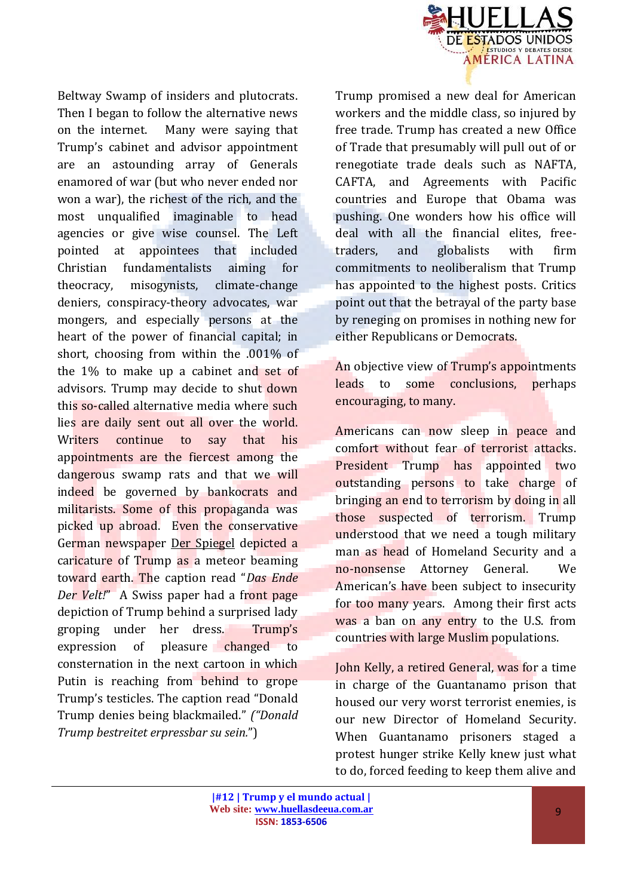

Beltway Swamp of insiders and plutocrats. Then I began to follow the alternative news on the internet. Many were saying that Trump's cabinet and advisor appointment are an astounding array of Generals enamored of war (but who never ended nor won a war), the richest of the rich, and the most unqualified imaginable to head agencies or give wise counsel. The Left pointed at appointees that included Christian fundamentalists aiming for theocracy, misogynists, climate-change deniers, conspiracy-theory advocates, war mongers, and especially persons at the heart of the power of financial capital; in short, choosing from within the .001% of the 1% to make up a cabinet and set of advisors. Trump may decide to shut down this so-called alternative media where such lies are daily sent out all over the world. Writers continue to say that his appointments are the fiercest among the dangerous swamp rats and that we will indeed be governed by bankocrats and militarists. Some of this propaganda was picked up abroad. Even the conservative German newspaper Der Spiegel depicted a caricature of Trump as a meteor beaming toward earth. The caption read "*Das Ende Der Velt!*" A Swiss paper had a front page depiction of Trump behind a surprised lady groping under her dress. Trump's expression of pleasure changed to consternation in the next cartoon in which Putin is reaching from behind to grope Trump's testicles. The caption read "Donald Trump denies being blackmailed." *("Donald Trump bestreitet erpressbar su sein.*")

Trump promised a new deal for American workers and the middle class, so injured by free trade. Trump has created a new Office of Trade that presumably will pull out of or renegotiate trade deals such as NAFTA, CAFTA, and Agreements with Pacific countries and Europe that Obama was pushing. One wonders how his office will deal with all the financial elites, freetraders, and globalists with firm commitments to neoliberalism that Trump has appointed to the highest posts. Critics point out that the betrayal of the party base by reneging on promises in nothing new for either Republicans or Democrats.

An objective view of Trump's appointments leads to some conclusions, perhaps encouraging, to many.

Americans can now sleep in peace and comfort without fear of terrorist attacks. President Trump has appointed two outstanding persons to take charge of bringing an end to terrorism by doing in all those suspected of terrorism. Trump understood that we need a tough military man as head of Homeland Security and a no-nonsense Attorney General. We American's have been subject to insecurity for too many years. Among their first acts was a ban on any entry to the U.S. from countries with large Muslim populations.

John Kelly, a retired General, was for a time in charge of the Guantanamo prison that housed our very worst terrorist enemies, is our new Director of Homeland Security. When Guantanamo prisoners staged a protest hunger strike Kelly knew just what to do, forced feeding to keep them alive and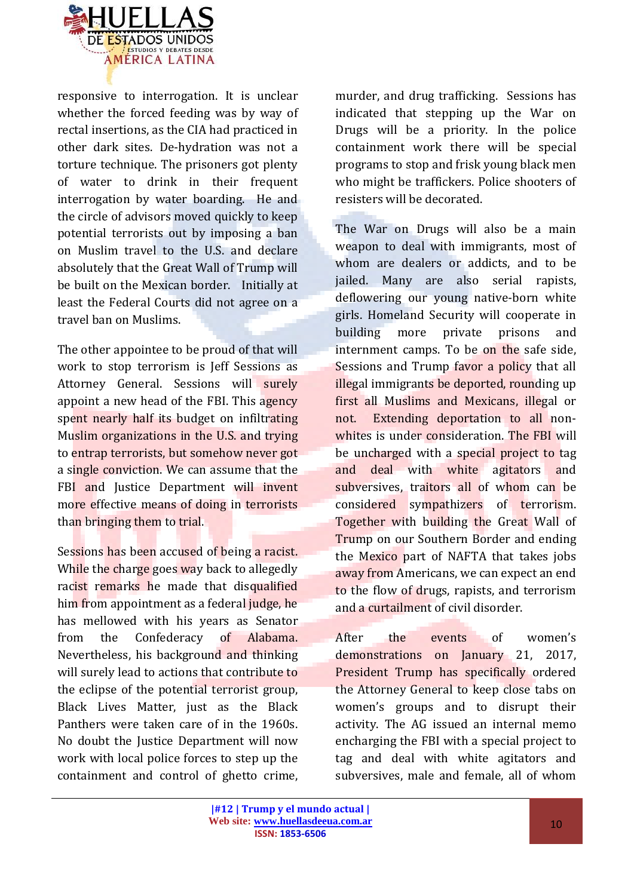

responsive to interrogation. It is unclear whether the forced feeding was by way of rectal insertions, as the CIA had practiced in other dark sites. De-hydration was not a torture technique. The prisoners got plenty of water to drink in their frequent interrogation by water boarding. He and the circle of advisors moved quickly to keep potential terrorists out by imposing a ban on Muslim travel to the U.S. and declare absolutely that the Great Wall of Trump will be built on the Mexican border. Initially at least the Federal Courts did not agree on a travel ban on Muslims.

The other appointee to be proud of that will work to stop terrorism is Jeff Sessions as Attorney General. Sessions will surely appoint a new head of the FBI. This agency spent nearly half its budget on infiltrating Muslim organizations in the U.S. and trying to entrap terrorists, but somehow never got a single conviction. We can assume that the FBI and Justice Department will invent more effective means of doing in terrorists than bringing them to trial.

Sessions has been accused of being a racist. While the charge goes way back to allegedly racist remarks he made that disqualified him from appointment as a federal judge, he has mellowed with his years as Senator from the Confederacy of Alabama. Nevertheless, his background and thinking will surely lead to actions that contribute to the eclipse of the potential terrorist group, Black Lives Matter, just as the Black Panthers were taken care of in the 1960s. No doubt the Justice Department will now work with local police forces to step up the containment and control of ghetto crime, murder, and drug trafficking. Sessions has indicated that stepping up the War on Drugs will be a priority. In the police containment work there will be special programs to stop and frisk young black men who might be traffickers. Police shooters of resisters will be decorated.

The War on Drugs will also be a main weapon to deal with immigrants, most of whom are dealers or addicts, and to be jailed. Many are also serial rapists, deflowering our young native-born white girls. Homeland Security will cooperate in building more private prisons and internment camps. To be on the safe side, Sessions and Trump favor a policy that all illegal immigrants be deported, rounding up first all Muslims and Mexicans, illegal or not. Extending deportation to all nonwhites is under consideration. The FBI will be uncharged with a special project to tag and deal with white agitators and subversives, traitors all of whom can be considered sympathizers of terrorism. Together with building the Great Wall of Trump on our Southern Border and ending the Mexico part of NAFTA that takes jobs away from Americans, we can expect an end to the flow of drugs, rapists, and terrorism and a curtailment of civil disorder.

After the events of women's demonstrations on January 21, 2017, President Trump has specifically ordered the Attorney General to keep close tabs on women's groups and to disrupt their activity. The AG issued an internal memo encharging the FBI with a special project to tag and deal with white agitators and subversives, male and female, all of whom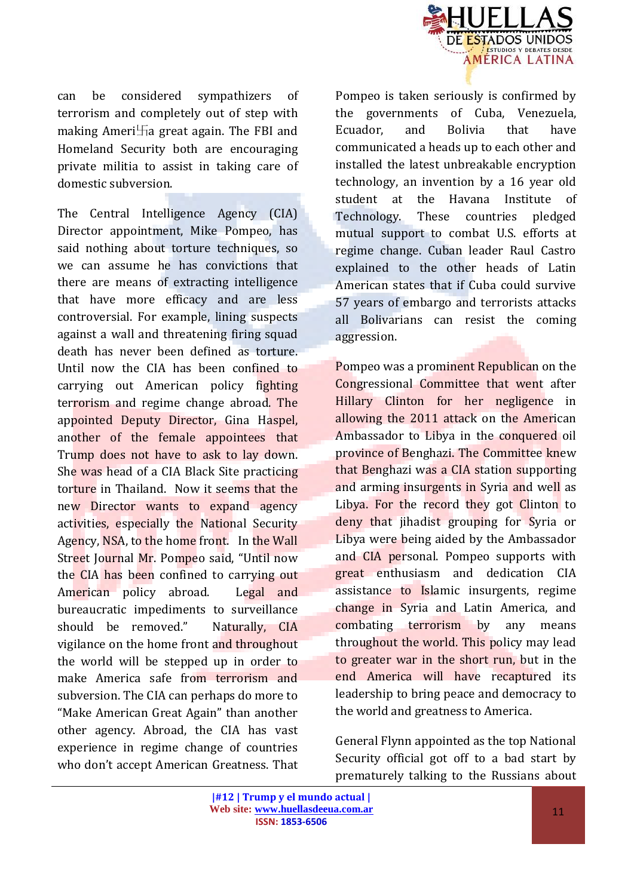

can be considered sympathizers of terrorism and completely out of step with making Ameri $\text{Ta}$  great again. The FBI and Homeland Security both are encouraging private militia to assist in taking care of domestic subversion.

The Central Intelligence Agency (CIA) Director appointment, Mike Pompeo, has said nothing about torture techniques, so we can assume he has convictions that there are means of extracting intelligence that have more efficacy and are less controversial. For example, lining suspects against a wall and threatening firing squad death has never been defined as torture. Until now the CIA has been confined to carrying out American policy fighting terrorism and regime change abroad. The appointed Deputy Director, Gina Haspel, another of the female appointees that Trump does not have to ask to lay down. She was head of a CIA Black Site practicing torture in Thailand. Now it seems that the new Director wants to expand agency activities, especially the National Security Agency, NSA, to the home front. In the Wall Street Journal Mr. Pompeo said, "Until now the CIA has been confined to carrying out American policy abroad. Legal and bureaucratic impediments to surveillance should be removed." Naturally, CIA vigilance on the home front and throughout the world will be stepped up in order to make America safe from terrorism and subversion. The CIA can perhaps do more to "Make American Great Again" than another other agency. Abroad, the CIA has vast experience in regime change of countries who don't accept American Greatness. That

Pompeo is taken seriously is confirmed by the governments of Cuba, Venezuela, Ecuador, and Bolivia that have communicated a heads up to each other and installed the latest unbreakable encryption technology, an invention by a 16 year old student at the Havana Institute of Technology. These countries pledged mutual support to combat U.S. efforts at regime change. Cuban leader Raul Castro explained to the other heads of Latin American states that if Cuba could survive 57 years of embargo and terrorists attacks all Bolivarians can resist the coming aggression.

Pompeo was a prominent Republican on the Congressional Committee that went after Hillary Clinton for her negligence in allowing the 2011 attack on the American Ambassador to Libya in the conquered oil province of Benghazi. The Committee knew that Benghazi was a CIA station supporting and arming insurgents in Syria and well as Libya. For the record they got Clinton to deny that jihadist grouping for Syria or Libya were being aided by the Ambassador and CIA personal. Pompeo supports with great enthusiasm and dedication CIA assistance to Islamic insurgents, regime change in Syria and Latin America, and combating terrorism by any means throughout the world. This policy may lead to greater war in the short run, but in the end America will have recaptured its leadership to bring peace and democracy to the world and greatness to America.

General Flynn appointed as the top National Security official got off to a bad start by prematurely talking to the Russians about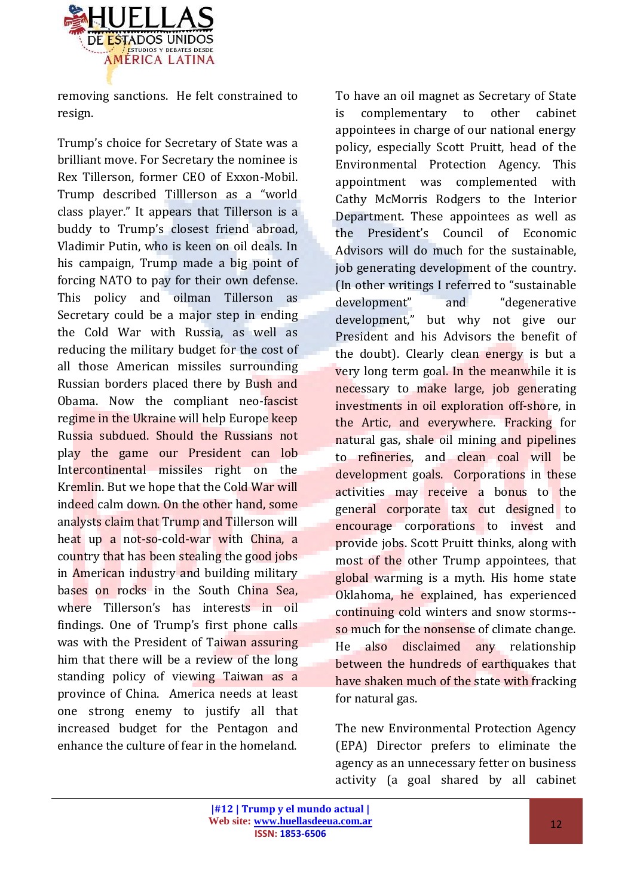

removing sanctions. He felt constrained to resign.

Trump's choice for Secretary of State was a brilliant move. For Secretary the nominee is Rex Tillerson, former CEO of Exxon-Mobil. Trump described Tilllerson as a "world class player." It appears that Tillerson is a buddy to Trump's closest friend abroad, Vladimir Putin, who is keen on oil deals. In his campaign, Trump made a big point of forcing NATO to pay for their own defense. This policy and oilman Tillerson as Secretary could be a major step in ending the Cold War with Russia, as well as reducing the military budget for the cost of all those American missiles surrounding Russian borders placed there by Bush and Obama. Now the compliant neo-fascist regime in the Ukraine will help Europe keep Russia subdued. Should the Russians not play the game our President can lob Intercontinental missiles right on the Kremlin. But we hope that the Cold War will indeed calm down. On the other hand, some analysts claim that Trump and Tillerson will heat up a not-so-cold-war with China, a country that has been stealing the good jobs in American industry and building military bases on rocks in the South China Sea. where Tillerson's has interests in oil findings. One of Trump's first phone calls was with the President of Taiwan assuring him that there will be a review of the long standing policy of viewing Taiwan as a province of China. America needs at least one strong enemy to justify all that increased budget for the Pentagon and enhance the culture of fear in the homeland.

To have an oil magnet as Secretary of State is complementary to other cabinet appointees in charge of our national energy policy, especially Scott Pruitt, head of the Environmental Protection Agency. This appointment was complemented with Cathy McMorris Rodgers to the Interior Department. These appointees as well as the President's Council of Economic Advisors will do much for the sustainable, job generating development of the country. (In other writings I referred to "sustainable development" and "degenerative development," but why not give our President and his Advisors the benefit of the doubt). Clearly clean energy is but a very long term goal. In the meanwhile it is necessary to make large, job generating investments in oil exploration off-shore, in the Artic, and everywhere. Fracking for natural gas, shale oil mining and pipelines to refineries, and clean coal will be development goals. Corporations in these activities may receive a bonus to the general corporate tax cut designed to encourage corporations to invest and provide jobs. Scott Pruitt thinks, along with most of the other Trump appointees, that global warming is a myth. His home state Oklahoma, he explained, has experienced continuing cold winters and snow storms- so much for the nonsense of climate change. He also disclaimed any relationship between the hundreds of earthquakes that have shaken much of the state with fracking for natural gas.

The new Environmental Protection Agency (EPA) Director prefers to eliminate the agency as an unnecessary fetter on business activity (a goal shared by all cabinet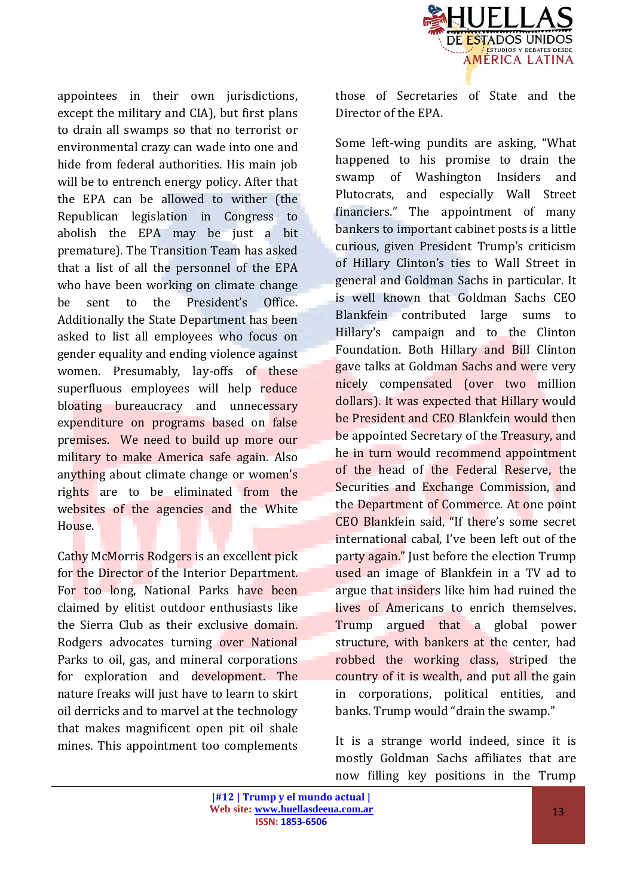

appointees in their own jurisdictions, except the military and CIA), but first plans to drain all swamps so that no terrorist or environmental crazy can wade into one and hide from federal authorities. His main job will be to entrench energy policy. After that the EPA can be allowed to wither (the Republican legislation in Congress to abolish the EPA may be just a bit premature). The Transition Team has asked that a list of all the personnel of the EPA who have been working on climate change be sent to the President's Office. Additionally the State Department has been asked to list all employees who focus on gender equality and ending violence against women. Presumably, lay-offs of these superfluous employees will help reduce bloating bureaucracy and unnecessary expenditure on programs based on false premises. We need to build up more our military to make America safe again. Also anything about climate change or women's rights are to be eliminated from the websites of the agencies and the White House.

Cathy McMorris Rodgers is an excellent pick for the Director of the Interior Department. For too long, National Parks have been claimed by elitist outdoor enthusiasts like the Sierra Club as their exclusive domain. Rodgers advocates turning over National Parks to oil, gas, and mineral corporations for exploration and development. The nature freaks will just have to learn to skirt oil derricks and to marvel at the technology that makes magnificent open pit oil shale mines. This appointment too complements

those of Secretaries of State and the Director of the EPA.

Some left-wing pundits are asking, "What happened to his promise to drain the swamp of Washington Insiders and Plutocrats, and especially Wall Street financiers." The appointment of many bankers to important cabinet posts is a little curious, given President Trump's criticism of Hillary Clinton's ties to Wall Street in general and Goldman Sachs in particular. It is well known that Goldman Sachs CEO Blankfein contributed large sums to Hillary's campaign and to the Clinton Foundation. Both Hillary and Bill Clinton gave talks at Goldman Sachs and were very nicely compensated (over two million dollars). It was expected that Hillary would be President and CEO Blankfein would then be appointed Secretary of the Treasury, and he in turn would recommend appointment of the head of the Federal Reserve, the Securities and Exchange Commission, and the Department of Commerce. At one point CEO Blankfein said, "If there's some secret international cabal, I've been left out of the party again." Just before the election Trump used an image of Blankfein in a TV ad to argue that insiders like him had ruined the lives of Americans to enrich themselves. Trump argued that a global power structure, with bankers at the center, had robbed the working class, striped the country of it is wealth, and put all the gain in corporations, political entities, and banks. Trump would "drain the swamp."

It is a strange world indeed, since it is mostly Goldman Sachs affiliates that are now filling key positions in the Trump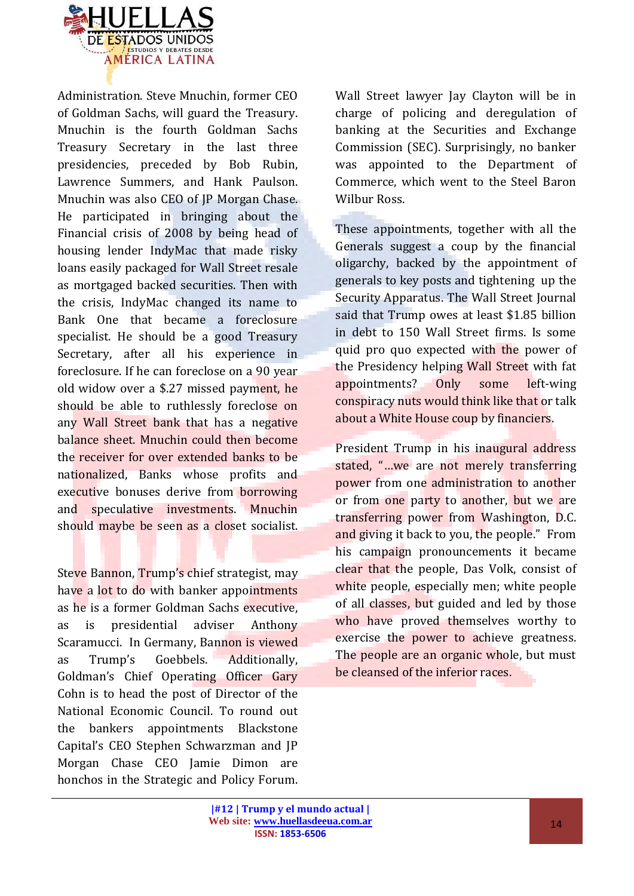

Administration. Steve Mnuchin, former CEO of Goldman Sachs, will guard the Treasury. Mnuchin is the fourth Goldman Sachs Treasury Secretary in the last three presidencies, preceded by Bob Rubin, Lawrence Summers, and Hank Paulson. Mnuchin was also CEO of JP Morgan Chase. He participated in bringing about the Financial crisis of 2008 by being head of housing lender IndyMac that made risky loans easily packaged for Wall Street resale as mortgaged backed securities. Then with the crisis, IndyMac changed its name to Bank One that became a foreclosure specialist. He should be a good Treasury Secretary, after all his experience in foreclosure. If he can foreclose on a 90 year old widow over a \$.27 missed payment, he should be able to ruthlessly foreclose on any Wall Street bank that has a negative balance sheet. Mnuchin could then become the receiver for over extended banks to be nationalized, Banks whose profits and executive bonuses derive from borrowing and speculative investments. Mnuchin should maybe be seen as a closet socialist.

Steve Bannon, Trump's chief strategist, may have a lot to do with banker appointments as he is a former Goldman Sachs executive, as is presidential adviser Anthony Scaramucci. In Germany, Bannon is viewed as Trump's Goebbels. Additionally, Goldman's Chief Operating Officer Gary Cohn is to head the post of Director of the National Economic Council. To round out the bankers appointments Blackstone Capital's CEO Stephen Schwarzman and JP Morgan Chase CEO Jamie Dimon are honchos in the Strategic and Policy Forum. Wall Street lawyer Jay Clayton will be in charge of policing and deregulation of banking at the Securities and Exchange Commission (SEC). Surprisingly, no banker was appointed to the Department of Commerce, which went to the Steel Baron Wilbur Ross.

These appointments, together with all the Generals suggest a coup by the financial oligarchy, backed by the appointment of generals to key posts and tightening up the Security Apparatus. The Wall Street Journal said that Trump owes at least \$1.85 billion in debt to 150 Wall Street firms. Is some quid pro quo expected with the power of the Presidency helping Wall Street with fat appointments? Only some left-wing conspiracy nuts would think like that or talk about a White House coup by financiers.

President Trump in his inaugural address stated, "…we are not merely transferring power from one administration to another or from one party to another, but we are transferring power from Washington, D.C. and giving it back to you, the people." From his campaign pronouncements it became clear that the people, Das Volk, consist of white people, especially men; white people of all classes, but guided and led by those who have proved themselves worthy to exercise the power to achieve greatness. The people are an organic whole, but must be cleansed of the inferior races.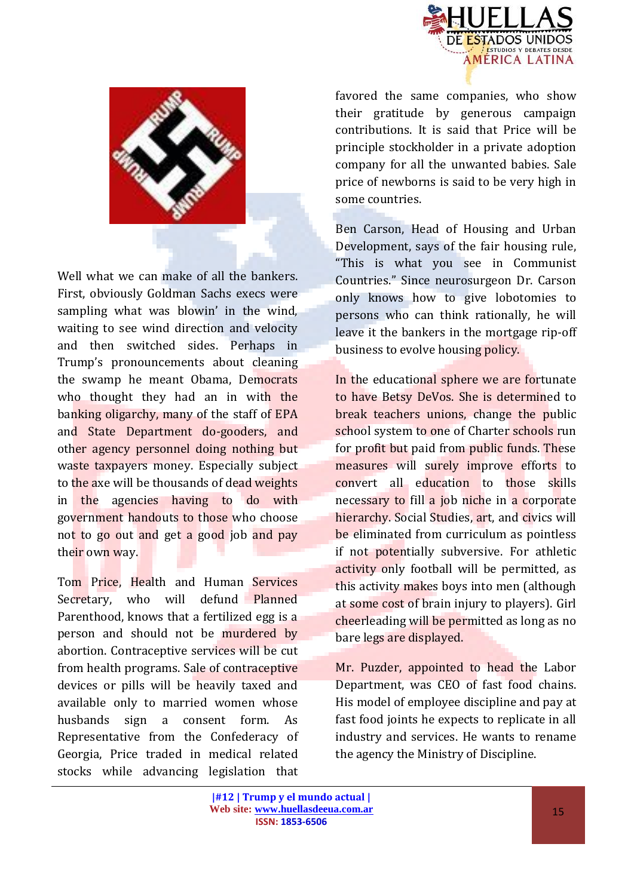



Well what we can make of all the bankers. First, obviously Goldman Sachs execs were sampling what was blowin' in the wind, waiting to see wind direction and velocity and then switched sides. Perhaps in Trump's pronouncements about cleaning the swamp he meant Obama, Democrats who thought they had an in with the banking oligarchy, many of the staff of EPA and State Department do-gooders, and other agency personnel doing nothing but waste taxpayers money. Especially subject to the axe will be thousands of dead weights in the agencies having to do with government handouts to those who choose not to go out and get a good job and pay their own way.

Tom Price, Health and Human Services Secretary, who will defund Planned Parenthood, knows that a fertilized egg is a person and should not be murdered by abortion. Contraceptive services will be cut from health programs. Sale of contraceptive devices or pills will be heavily taxed and available only to married women whose husbands sign a consent form. As Representative from the Confederacy of Georgia, Price traded in medical related stocks while advancing legislation that favored the same companies, who show their gratitude by generous campaign contributions. It is said that Price will be principle stockholder in a private adoption company for all the unwanted babies. Sale price of newborns is said to be very high in some countries.

Ben Carson, Head of Housing and Urban Development, says of the fair housing rule, "This is what you see in Communist Countries." Since neurosurgeon Dr. Carson only knows how to give lobotomies to persons who can think rationally, he will leave it the bankers in the mortgage rip-off business to evolve housing policy.

In the educational sphere we are fortunate to have Betsy DeVos. She is determined to break teachers unions, change the public school system to one of Charter schools run for profit but paid from public funds. These measures will surely improve efforts to convert all education to those skills necessary to fill a job niche in a corporate hierarchy. Social Studies, art, and civics will be eliminated from curriculum as pointless if not potentially subversive. For athletic activity only football will be permitted, as this activity makes boys into men (although at some cost of brain injury to players). Girl cheerleading will be permitted as long as no bare legs are displayed.

Mr. Puzder, appointed to head the Labor Department, was CEO of fast food chains. His model of employee discipline and pay at fast food joints he expects to replicate in all industry and services. He wants to rename the agency the Ministry of Discipline.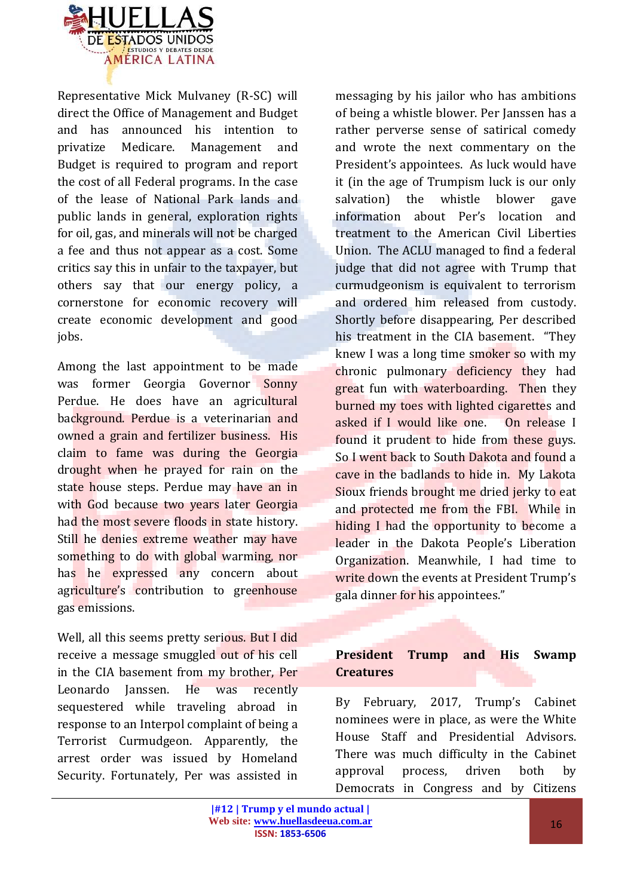

Representative Mick Mulvaney (R-SC) will direct the Office of Management and Budget and has announced his intention to privatize Medicare. Management and Budget is required to program and report the cost of all Federal programs. In the case of the lease of National Park lands and public lands in general, exploration rights for oil, gas, and minerals will not be charged a fee and thus not appear as a cost. Some critics say this in unfair to the taxpayer, but others say that our energy policy, a cornerstone for economic recovery will create economic development and good jobs.

Among the last appointment to be made was former Georgia Governor Sonny Perdue. He does have an agricultural background. Perdue is a veterinarian and owned a grain and fertilizer business. His claim to fame was during the Georgia drought when he prayed for rain on the state house steps. Perdue may have an in with God because two years later Georgia had the most severe floods in state history. Still he denies extreme weather may have something to do with global warming, nor has he expressed any concern about agriculture's contribution to greenhouse gas emissions.

Well, all this seems pretty serious. But I did receive a message smuggled out of his cell in the CIA basement from my brother, Per Leonardo Janssen. He was recently sequestered while traveling abroad in response to an Interpol complaint of being a Terrorist Curmudgeon. Apparently, the arrest order was issued by Homeland Security. Fortunately, Per was assisted in messaging by his jailor who has ambitions of being a whistle blower. Per Janssen has a rather perverse sense of satirical comedy and wrote the next commentary on the President's appointees. As luck would have it (in the age of Trumpism luck is our only salvation) the whistle blower gave information about Per's location and treatment to the American Civil Liberties Union. The ACLU managed to find a federal judge that did not agree with Trump that curmudgeonism is equivalent to terrorism and ordered him released from custody. Shortly before disappearing, Per described his treatment in the CIA basement. "They knew I was a long time smoker so with my chronic pulmonary deficiency they had great fun with waterboarding. Then they burned my toes with lighted cigarettes and asked if I would like one. On release I found it prudent to hide from these guys. So I went back to South Dakota and found a cave in the badlands to hide in. My Lakota Sioux friends brought me dried jerky to eat and protected me from the FBI. While in hiding I had the opportunity to become a leader in the Dakota People's Liberation Organization. Meanwhile, I had time to write down the events at President Trump's gala dinner for his appointees."

### **President Trump and His Swamp Creatures**

By February, 2017, Trump's Cabinet nominees were in place, as were the White House Staff and Presidential Advisors. There was much difficulty in the Cabinet approval process, driven both by Democrats in Congress and by Citizens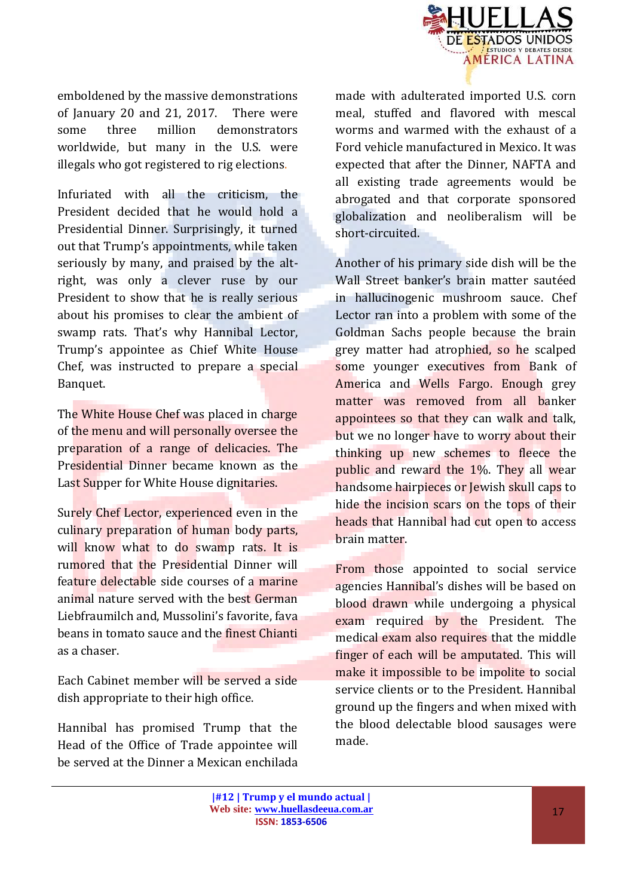

emboldened by the massive demonstrations of January 20 and 21, 2017. There were some three million demonstrators worldwide, but many in the U.S. were illegals who got registered to rig elections.

Infuriated with all the criticism, the President decided that he would hold a Presidential Dinner. Surprisingly, it turned out that Trump's appointments, while taken seriously by many, and praised by the altright, was only a clever ruse by our President to show that he is really serious about his promises to clear the ambient of swamp rats. That's why Hannibal Lector, Trump's appointee as Chief White House Chef, was instructed to prepare a special Banquet.

The White House Chef was placed in charge of the menu and will personally oversee the preparation of a range of delicacies. The Presidential Dinner became known as the Last Supper for White House dignitaries.

Surely Chef Lector, experienced even in the culinary preparation of human body parts, will know what to do swamp rats. It is rumored that the Presidential Dinner will feature delectable side courses of a marine animal nature served with the best German Liebfraumilch and, Mussolini's favorite, fava beans in tomato sauce and the finest Chianti as a chaser.

Each Cabinet member will be served a side dish appropriate to their high office.

Hannibal has promised Trump that the Head of the Office of Trade appointee will be served at the Dinner a Mexican enchilada

made with adulterated imported U.S. corn meal, stuffed and flavored with mescal worms and warmed with the exhaust of a Ford vehicle manufactured in Mexico. It was expected that after the Dinner, NAFTA and all existing trade agreements would be abrogated and that corporate sponsored globalization and neoliberalism will be short-circuited.

Another of his primary side dish will be the Wall Street banker's brain matter sautéed in hallucinogenic mushroom sauce. Chef Lector ran into a problem with some of the Goldman Sachs people because the brain grey matter had atrophied, so he scalped some younger executives from Bank of America and Wells Fargo. Enough grey matter was removed from all banker appointees so that they can walk and talk, but we no longer have to worry about their thinking up new schemes to fleece the public and reward the 1%. They all wear handsome hairpieces or Jewish skull caps to hide the incision scars on the tops of their heads that Hannibal had cut open to access brain matter.

From those appointed to social service agencies Hannibal's dishes will be based on blood drawn while undergoing a physical exam required by the President. The medical exam also requires that the middle finger of each will be amputated. This will make it impossible to be impolite to social service clients or to the President. Hannibal ground up the fingers and when mixed with the blood delectable blood sausages were made.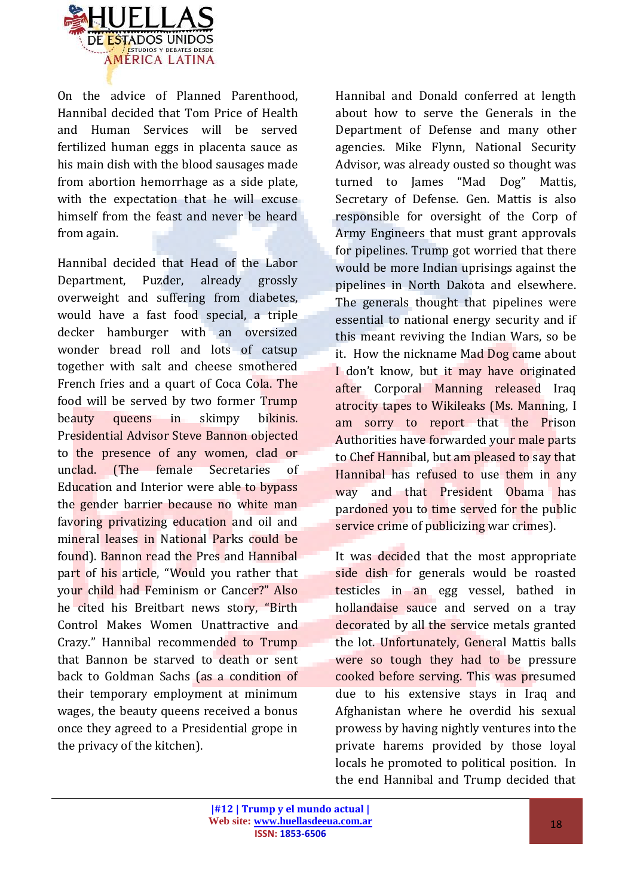

On the advice of Planned Parenthood, Hannibal decided that Tom Price of Health and Human Services will be served fertilized human eggs in placenta sauce as his main dish with the blood sausages made from abortion hemorrhage as a side plate, with the expectation that he will excuse himself from the feast and never be heard from again.

Hannibal decided that Head of the Labor Department, Puzder, already grossly overweight and suffering from diabetes, would have a fast food special, a triple decker hamburger with an oversized wonder bread roll and lots of catsup together with salt and cheese smothered French fries and a quart of Coca Cola. The food will be served by two former Trump beauty queens in skimpy bikinis. Presidential Advisor Steve Bannon objected to the presence of any women, clad or unclad. (The female Secretaries of Education and Interior were able to bypass the gender barrier because no white man favoring privatizing education and oil and mineral leases in National Parks could be found). Bannon read the Pres and Hannibal part of his article, "Would you rather that your child had Feminism or Cancer?" Also he cited his Breitbart news story, "Birth Control Makes Women Unattractive and Crazy." Hannibal recommended to Trump that Bannon be starved to death or sent back to Goldman Sachs (as a condition of their temporary employment at minimum wages, the beauty queens received a bonus once they agreed to a Presidential grope in the privacy of the kitchen).

Hannibal and Donald conferred at length about how to serve the Generals in the Department of Defense and many other agencies. Mike Flynn, National Security Advisor, was already ousted so thought was turned to James "Mad Dog" Mattis, Secretary of Defense. Gen. Mattis is also responsible for oversight of the Corp of Army Engineers that must grant approvals for pipelines. Trump got worried that there would be more Indian uprisings against the pipelines in North Dakota and elsewhere. The generals thought that pipelines were essential to national energy security and if this meant reviving the Indian Wars, so be it. How the nickname Mad Dog came about I don't know, but it may have originated after Corporal Manning released Iraq atrocity tapes to Wikileaks (Ms. Manning, I am sorry to report that the Prison Authorities have forwarded your male parts to Chef Hannibal, but am pleased to say that Hannibal has refused to use them in any way and that President Obama has pardoned you to time served for the public service crime of publicizing war crimes).

It was decided that the most appropriate side dish for generals would be roasted testicles in an egg vessel, bathed in hollandaise sauce and served on a tray decorated by all the service metals granted the lot. Unfortunately, General Mattis balls were so tough they had to be pressure cooked before serving. This was presumed due to his extensive stays in Iraq and Afghanistan where he overdid his sexual prowess by having nightly ventures into the private harems provided by those loyal locals he promoted to political position. In the end Hannibal and Trump decided that